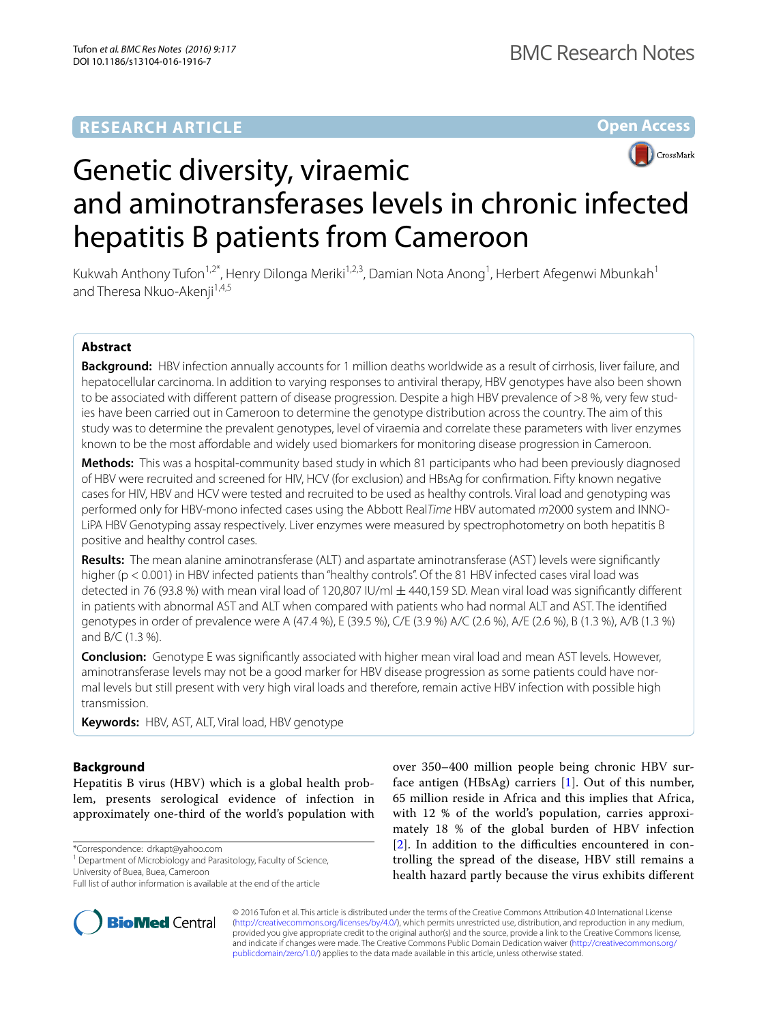# **RESEARCH ARTICLE**

**Open Access**



# Genetic diversity, viraemic and aminotransferases levels in chronic infected hepatitis B patients from Cameroon

Kukwah Anthony Tufon<sup>1,2\*</sup>, Henry Dilonga Meriki<sup>1,2,3</sup>, Damian Nota Anong<sup>1</sup>, Herbert Afegenwi Mbunkah<sup>1</sup> and Theresa Nkuo-Akenii<sup>1,4,5</sup>

# **Abstract**

**Background:** HBV infection annually accounts for 1 million deaths worldwide as a result of cirrhosis, liver failure, and hepatocellular carcinoma. In addition to varying responses to antiviral therapy, HBV genotypes have also been shown to be associated with different pattern of disease progression. Despite a high HBV prevalence of >8 %, very few studies have been carried out in Cameroon to determine the genotype distribution across the country. The aim of this study was to determine the prevalent genotypes, level of viraemia and correlate these parameters with liver enzymes known to be the most affordable and widely used biomarkers for monitoring disease progression in Cameroon.

**Methods:** This was a hospital-community based study in which 81 participants who had been previously diagnosed of HBV were recruited and screened for HIV, HCV (for exclusion) and HBsAg for confirmation. Fifty known negative cases for HIV, HBV and HCV were tested and recruited to be used as healthy controls. Viral load and genotyping was performed only for HBV-mono infected cases using the Abbott Real*Time* HBV automated *m*2000 system and INNO-LiPA HBV Genotyping assay respectively. Liver enzymes were measured by spectrophotometry on both hepatitis B positive and healthy control cases.

**Results:** The mean alanine aminotransferase (ALT) and aspartate aminotransferase (AST) levels were significantly higher (p < 0.001) in HBV infected patients than "healthy controls". Of the 81 HBV infected cases viral load was detected in 76 (93.8 %) with mean viral load of 120,807 IU/ml  $\pm$  440,159 SD. Mean viral load was significantly different in patients with abnormal AST and ALT when compared with patients who had normal ALT and AST. The identified genotypes in order of prevalence were A (47.4 %), E (39.5 %), C/E (3.9 %) A/C (2.6 %), A/E (2.6 %), B (1.3 %), A/B (1.3 %) and B/C (1.3 %).

**Conclusion:** Genotype E was significantly associated with higher mean viral load and mean AST levels. However, aminotransferase levels may not be a good marker for HBV disease progression as some patients could have normal levels but still present with very high viral loads and therefore, remain active HBV infection with possible high transmission.

**Keywords:** HBV, AST, ALT, Viral load, HBV genotype

# **Background**

Hepatitis B virus (HBV) which is a global health problem, presents serological evidence of infection in approximately one-third of the world's population with

\*Correspondence: drkapt@yahoo.com

**BioMed Central** 

<sup>1</sup> Department of Microbiology and Parasitology, Faculty of Science,

University of Buea, Buea, Cameroon



© 2016 Tufon et al. This article is distributed under the terms of the Creative Commons Attribution 4.0 International License [\(http://creativecommons.org/licenses/by/4.0/\)](http://creativecommons.org/licenses/by/4.0/), which permits unrestricted use, distribution, and reproduction in any medium, provided you give appropriate credit to the original author(s) and the source, provide a link to the Creative Commons license, and indicate if changes were made. The Creative Commons Public Domain Dedication waiver ([http://creativecommons.org/](http://creativecommons.org/publicdomain/zero/1.0/) [publicdomain/zero/1.0/](http://creativecommons.org/publicdomain/zero/1.0/)) applies to the data made available in this article, unless otherwise stated.

Full list of author information is available at the end of the article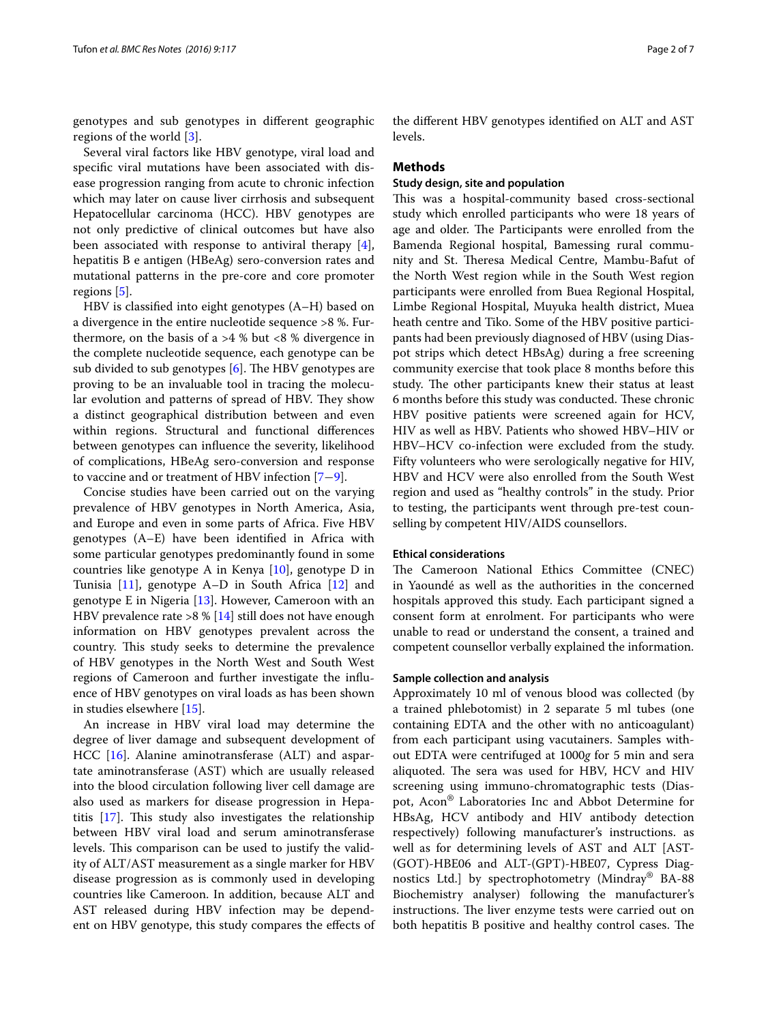genotypes and sub genotypes in different geographic regions of the world [[3](#page-5-2)].

Several viral factors like HBV genotype, viral load and specific viral mutations have been associated with disease progression ranging from acute to chronic infection which may later on cause liver cirrhosis and subsequent Hepatocellular carcinoma (HCC). HBV genotypes are not only predictive of clinical outcomes but have also been associated with response to antiviral therapy [\[4](#page-5-3)], hepatitis B e antigen (HBeAg) sero-conversion rates and mutational patterns in the pre-core and core promoter regions [\[5](#page-5-4)].

HBV is classified into eight genotypes (A–H) based on a divergence in the entire nucleotide sequence >8 %. Furthermore, on the basis of a  $>4$  % but <8 % divergence in the complete nucleotide sequence, each genotype can be sub divided to sub genotypes [[6\]](#page-5-5). The HBV genotypes are proving to be an invaluable tool in tracing the molecular evolution and patterns of spread of HBV. They show a distinct geographical distribution between and even within regions. Structural and functional differences between genotypes can influence the severity, likelihood of complications, HBeAg sero-conversion and response to vaccine and or treatment of HBV infection [[7](#page-5-6)−[9](#page-5-7)].

Concise studies have been carried out on the varying prevalence of HBV genotypes in North America, Asia, and Europe and even in some parts of Africa. Five HBV genotypes (A–E) have been identified in Africa with some particular genotypes predominantly found in some countries like genotype A in Kenya [[10\]](#page-5-8), genotype D in Tunisia [[11\]](#page-5-9), genotype A–D in South Africa [\[12](#page-5-10)] and genotype E in Nigeria [\[13](#page-5-11)]. However, Cameroon with an HBV prevalence rate  $>8\%$  [[14\]](#page-5-12) still does not have enough information on HBV genotypes prevalent across the country. This study seeks to determine the prevalence of HBV genotypes in the North West and South West regions of Cameroon and further investigate the influence of HBV genotypes on viral loads as has been shown in studies elsewhere [[15\]](#page-5-13).

An increase in HBV viral load may determine the degree of liver damage and subsequent development of HCC [\[16](#page-5-14)]. Alanine aminotransferase (ALT) and aspartate aminotransferase (AST) which are usually released into the blood circulation following liver cell damage are also used as markers for disease progression in Hepatitis [[17](#page-6-0)]. This study also investigates the relationship between HBV viral load and serum aminotransferase levels. This comparison can be used to justify the validity of ALT/AST measurement as a single marker for HBV disease progression as is commonly used in developing countries like Cameroon. In addition, because ALT and AST released during HBV infection may be dependent on HBV genotype, this study compares the effects of

the different HBV genotypes identified on ALT and AST levels.

## **Methods**

#### **Study design, site and population**

This was a hospital-community based cross-sectional study which enrolled participants who were 18 years of age and older. The Participants were enrolled from the Bamenda Regional hospital, Bamessing rural community and St. Theresa Medical Centre, Mambu-Bafut of the North West region while in the South West region participants were enrolled from Buea Regional Hospital, Limbe Regional Hospital, Muyuka health district, Muea heath centre and Tiko. Some of the HBV positive participants had been previously diagnosed of HBV (using Diaspot strips which detect HBsAg) during a free screening community exercise that took place 8 months before this study. The other participants knew their status at least 6 months before this study was conducted. These chronic HBV positive patients were screened again for HCV, HIV as well as HBV. Patients who showed HBV–HIV or HBV–HCV co-infection were excluded from the study. Fifty volunteers who were serologically negative for HIV, HBV and HCV were also enrolled from the South West region and used as "healthy controls" in the study. Prior to testing, the participants went through pre-test counselling by competent HIV/AIDS counsellors.

#### **Ethical considerations**

The Cameroon National Ethics Committee (CNEC) in Yaoundé as well as the authorities in the concerned hospitals approved this study. Each participant signed a consent form at enrolment. For participants who were unable to read or understand the consent, a trained and competent counsellor verbally explained the information.

#### **Sample collection and analysis**

Approximately 10 ml of venous blood was collected (by a trained phlebotomist) in 2 separate 5 ml tubes (one containing EDTA and the other with no anticoagulant) from each participant using vacutainers. Samples without EDTA were centrifuged at 1000*g* for 5 min and sera aliquoted. The sera was used for HBV, HCV and HIV screening using immuno-chromatographic tests (Diaspot, Acon® Laboratories Inc and Abbot Determine for HBsAg, HCV antibody and HIV antibody detection respectively) following manufacturer's instructions. as well as for determining levels of AST and ALT [AST- (GOT)-HBE06 and ALT-(GPT)-HBE07, Cypress Diagnostics Ltd.] by spectrophotometry (Mindray® BA-88 Biochemistry analyser) following the manufacturer's instructions. The liver enzyme tests were carried out on both hepatitis B positive and healthy control cases. The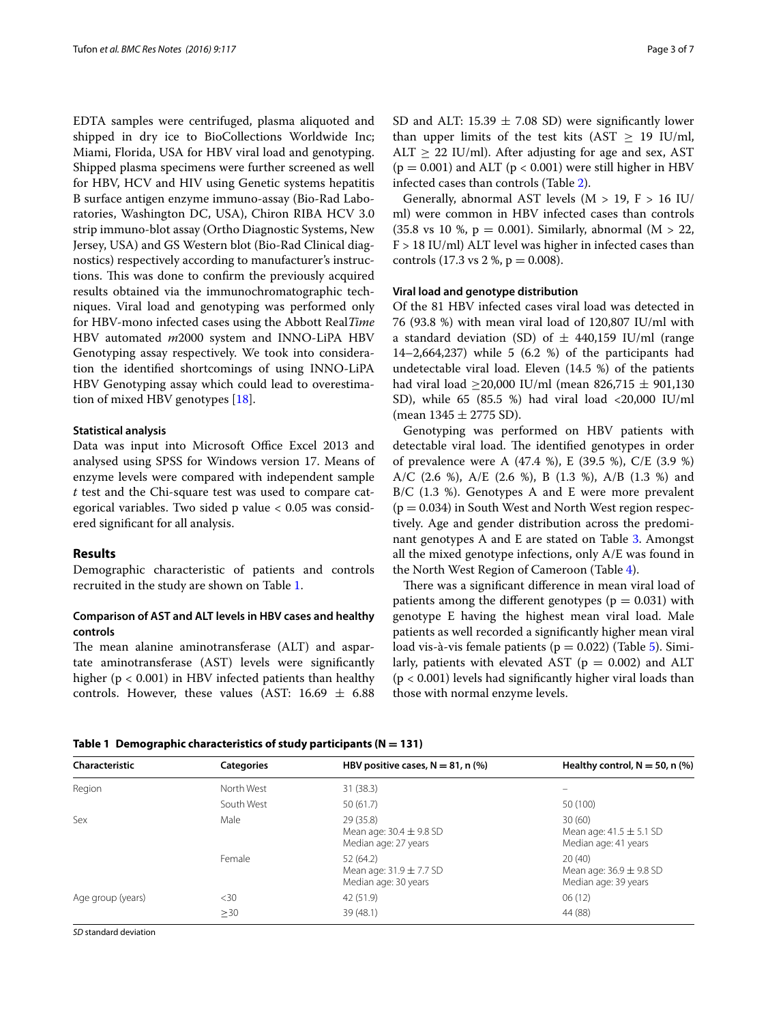EDTA samples were centrifuged, plasma aliquoted and shipped in dry ice to BioCollections Worldwide Inc; Miami, Florida, USA for HBV viral load and genotyping. Shipped plasma specimens were further screened as well for HBV, HCV and HIV using Genetic systems hepatitis B surface antigen enzyme immuno-assay (Bio-Rad Laboratories, Washington DC, USA), Chiron RIBA HCV 3.0 strip immuno-blot assay (Ortho Diagnostic Systems, New Jersey, USA) and GS Western blot (Bio-Rad Clinical diagnostics) respectively according to manufacturer's instructions. This was done to confirm the previously acquired results obtained via the immunochromatographic techniques. Viral load and genotyping was performed only for HBV-mono infected cases using the Abbott Real*Time* HBV automated *m*2000 system and INNO-LiPA HBV Genotyping assay respectively. We took into consideration the identified shortcomings of using INNO-LiPA HBV Genotyping assay which could lead to overestimation of mixed HBV genotypes [\[18\]](#page-6-1).

#### **Statistical analysis**

Data was input into Microsoft Office Excel 2013 and analysed using SPSS for Windows version 17. Means of enzyme levels were compared with independent sample *t* test and the Chi-square test was used to compare categorical variables. Two sided p value < 0.05 was considered significant for all analysis.

#### **Results**

Demographic characteristic of patients and controls recruited in the study are shown on Table [1](#page-2-0).

# **Comparison of AST and ALT levels in HBV cases and healthy controls**

The mean alanine aminotransferase (ALT) and aspartate aminotransferase (AST) levels were significantly higher (p < 0.001) in HBV infected patients than healthy controls. However, these values (AST:  $16.69 \pm 6.88$  SD and ALT:  $15.39 \pm 7.08$  SD) were significantly lower than upper limits of the test kits (AST  $\geq$  19 IU/ml, ALT  $\geq$  22 IU/ml). After adjusting for age and sex, AST  $(p = 0.001)$  and ALT  $(p < 0.001)$  were still higher in HBV infected cases than controls (Table [2](#page-3-0)).

Generally, abnormal AST levels ( $M > 19$ ,  $F > 16$  IU/ ml) were common in HBV infected cases than controls (35.8 vs 10 %,  $p = 0.001$ ). Similarly, abnormal (M > 22,  $F > 18$  IU/ml) ALT level was higher in infected cases than controls (17.3 vs 2 %,  $p = 0.008$ ).

#### **Viral load and genotype distribution**

Of the 81 HBV infected cases viral load was detected in 76 (93.8 %) with mean viral load of 120,807 IU/ml with a standard deviation (SD) of  $\pm$  440,159 IU/ml (range 14–2,664,237) while 5 (6.2 %) of the participants had undetectable viral load. Eleven (14.5 %) of the patients had viral load  $\geq$ 20,000 IU/ml (mean 826,715  $\pm$  901,130 SD), while 65 (85.5 %) had viral load <20,000 IU/ml (mean  $1345 \pm 2775$  SD).

Genotyping was performed on HBV patients with detectable viral load. The identified genotypes in order of prevalence were A (47.4 %), E (39.5 %), C/E (3.9 %) A/C (2.6 %), A/E (2.6 %), B (1.3 %), A/B (1.3 %) and B/C (1.3 %). Genotypes A and E were more prevalent  $(p = 0.034)$  in South West and North West region respectively. Age and gender distribution across the predominant genotypes A and E are stated on Table [3.](#page-3-1) Amongst all the mixed genotype infections, only A/E was found in the North West Region of Cameroon (Table [4\)](#page-3-2).

There was a significant difference in mean viral load of patients among the different genotypes ( $p = 0.031$ ) with genotype E having the highest mean viral load. Male patients as well recorded a significantly higher mean viral load vis-à-vis female patients ( $p = 0.022$ ) (Table [5](#page-4-0)). Similarly, patients with elevated AST ( $p = 0.002$ ) and ALT  $(p < 0.001)$  levels had significantly higher viral loads than those with normal enzyme levels.

<span id="page-2-0"></span>**Table 1 Demographic characteristics of study participants (N = 131)**

| Characteristic    | <b>Categories</b> | HBV positive cases, $N = 81$ , n (%)                             | Healthy control, $N = 50$ , n (%)                             |
|-------------------|-------------------|------------------------------------------------------------------|---------------------------------------------------------------|
| Region            | North West        | 31(38.3)                                                         |                                                               |
|                   | South West        | 50(61.7)                                                         | 50 (100)                                                      |
| Sex               | Male              | 29 (35.8)<br>Mean age: $30.4 \pm 9.8$ SD<br>Median age: 27 years | 30(60)<br>Mean age: $41.5 \pm 5.1$ SD<br>Median age: 41 years |
|                   | Female            | 52 (64.2)<br>Mean age: $31.9 \pm 7.7$ SD<br>Median age: 30 years | 20(40)<br>Mean age: $36.9 \pm 9.8$ SD<br>Median age: 39 years |
| Age group (years) | $<$ 30            | 42 (51.9)                                                        | 06(12)                                                        |
|                   | $\geq$ 30         | 39 (48.1)                                                        | 44 (88)                                                       |
|                   |                   |                                                                  |                                                               |

*SD* standard deviation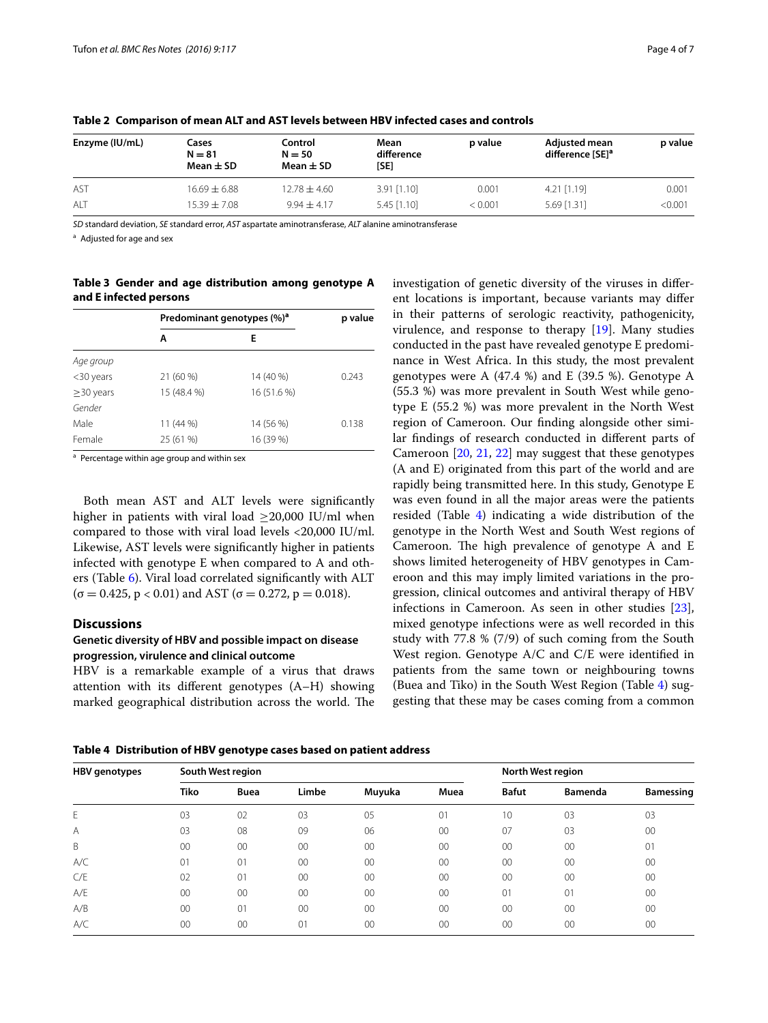| Enzyme (IU/mL) | Cases<br>$N = 81$<br>Mean $\pm$ SD | Control<br>$N = 50$<br>Mean $\pm$ SD | Mean<br>difference<br>[SE] | p value | Adjusted mean<br>difference [SE] <sup>a</sup> | p value |
|----------------|------------------------------------|--------------------------------------|----------------------------|---------|-----------------------------------------------|---------|
| AST            | $16.69 \pm 6.88$                   | $12.78 \pm 4.60$                     | 3.91 [1.10]                | 0.001   | $4.21$ [1.19]                                 | 0.001   |
| ALT            | $15.39 + 7.08$                     | $9.94 \pm 4.17$                      | 5.45 [1.10]                | < 0.001 | 5.69 [1.31]                                   | < 0.001 |

<span id="page-3-0"></span>**Table 2 Comparison of mean ALT and AST levels between HBV infected cases and controls**

*SD* standard deviation, *SE* standard error, *AST* aspartate aminotransferase, *ALT* alanine aminotransferase

a Adjusted for age and sex

<span id="page-3-1"></span>**Table 3 Gender and age distribution among genotype A and E infected persons**

|                 | Predominant genotypes (%) <sup>a</sup> | p value     |       |
|-----------------|----------------------------------------|-------------|-------|
|                 | Α<br>Е                                 |             |       |
| Age group       |                                        |             |       |
| $<$ 30 years    | 21 (60 %)                              | 14 (40 %)   | 0.243 |
| $\geq$ 30 years | 15 (48.4 %)                            | 16 (51.6 %) |       |
| Gender          |                                        |             |       |
| Male            | 11 (44 %)                              | 14 (56 %)   | 0.138 |
| Female          | 25 (61 %)                              | 16 (39 %)   |       |

a Percentage within age group and within sex

Both mean AST and ALT levels were significantly higher in patients with viral load ≥20,000 IU/ml when compared to those with viral load levels <20,000 IU/ml. Likewise, AST levels were significantly higher in patients infected with genotype E when compared to A and others (Table [6\)](#page-4-1). Viral load correlated significantly with ALT  $(σ = 0.425, p < 0.01)$  and AST  $(σ = 0.272, p = 0.018)$ .

#### **Discussions**

## **Genetic diversity of HBV and possible impact on disease progression, virulence and clinical outcome**

HBV is a remarkable example of a virus that draws attention with its different genotypes (A–H) showing marked geographical distribution across the world. The investigation of genetic diversity of the viruses in different locations is important, because variants may differ in their patterns of serologic reactivity, pathogenicity, virulence, and response to therapy [\[19\]](#page-6-2). Many studies conducted in the past have revealed genotype E predominance in West Africa. In this study, the most prevalent genotypes were A  $(47.4 \%)$  and E  $(39.5 \%)$ . Genotype A (55.3 %) was more prevalent in South West while genotype E (55.2 %) was more prevalent in the North West region of Cameroon. Our finding alongside other similar findings of research conducted in different parts of Cameroon [\[20](#page-6-3), [21](#page-6-4), [22](#page-6-5)] may suggest that these genotypes (A and E) originated from this part of the world and are rapidly being transmitted here. In this study, Genotype E was even found in all the major areas were the patients resided (Table [4](#page-3-2)) indicating a wide distribution of the genotype in the North West and South West regions of Cameroon. The high prevalence of genotype A and E shows limited heterogeneity of HBV genotypes in Cameroon and this may imply limited variations in the progression, clinical outcomes and antiviral therapy of HBV infections in Cameroon. As seen in other studies [\[23](#page-6-6)], mixed genotype infections were as well recorded in this study with 77.8 % (7/9) of such coming from the South West region. Genotype A/C and C/E were identified in patients from the same town or neighbouring towns (Buea and Tiko) in the South West Region (Table [4](#page-3-2)) suggesting that these may be cases coming from a common

<span id="page-3-2"></span>**Table 4 Distribution of HBV genotype cases based on patient address**

| <b>HBV</b> genotypes |      | South West region |        |        |      |              | <b>North West region</b> |                  |  |
|----------------------|------|-------------------|--------|--------|------|--------------|--------------------------|------------------|--|
|                      | Tiko | <b>Buea</b>       | Limbe  | Muyuka | Muea | <b>Bafut</b> | <b>Bamenda</b>           | <b>Bamessing</b> |  |
| E                    | 03   | 02                | 03     | 05     | 01   | 10           | 03                       | 03               |  |
| A                    | 03   | 08                | 09     | 06     | 00   | 07           | 03                       | 00               |  |
| B                    | 00   | 00                | 00     | 00     | 00   | 00           | 00                       | 01               |  |
| A/C                  | 01   | 01                | 00     | 00     | 00   | $00\,$       | 00                       | 00               |  |
| C/E                  | 02   | 01                | $00\,$ | $00\,$ | 00   | $00\,$       | 00                       | 00               |  |
| A/E                  | 00   | 00                | $00\,$ | $00\,$ | 00   | 01           | 01                       | 00               |  |
| A/B                  | 00   | 01                | $00\,$ | 00     | 00   | 00           | 00                       | $00\,$           |  |
| A/C                  | 00   | 00                | 01     | 00     | 00   | 00           | 00                       | 00               |  |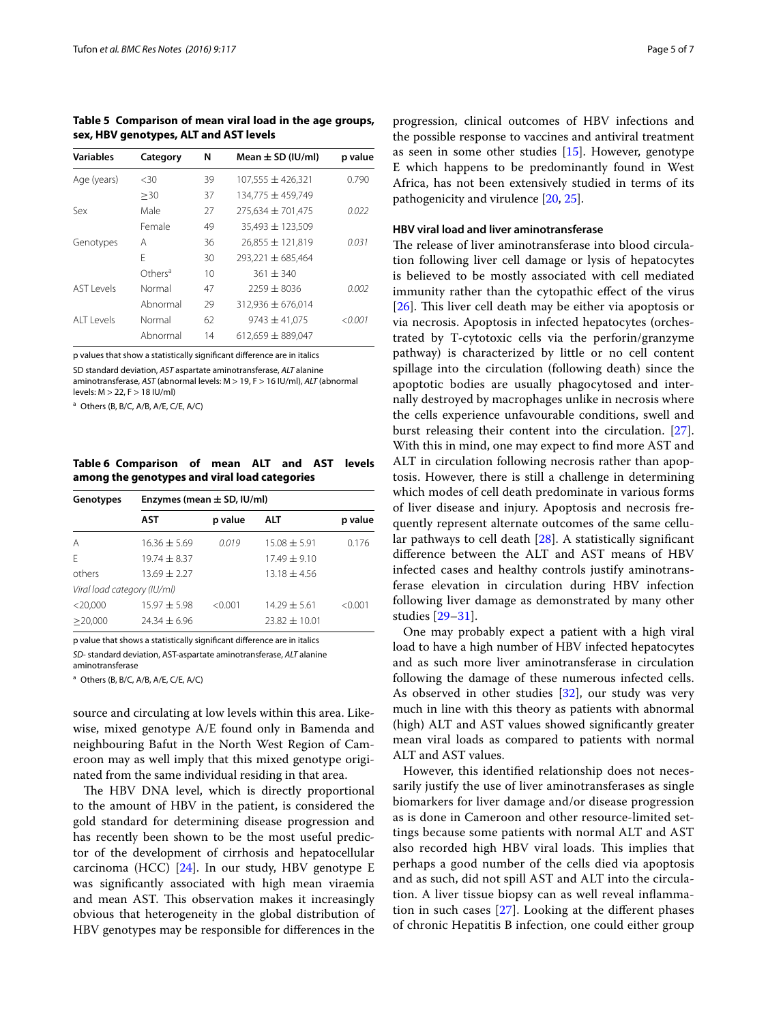<span id="page-4-0"></span>**Table 5 Comparison of mean viral load in the age groups, sex, HBV genotypes, ALT and AST levels**

| <b>Variables</b> | Category            | N  | Mean $\pm$ SD (IU/ml) | p value |
|------------------|---------------------|----|-----------------------|---------|
| Age (years)      | <30                 | 39 | $107,555 \pm 426,321$ | 0.790   |
|                  | >30                 | 37 | 134,775 ± 459,749     |         |
| Sex              | Male                | 27 | 275,634 ± 701,475     | 0.022   |
|                  | Female              | 49 | 35,493 ± 123,509      |         |
| Genotypes        | Α                   | 36 | $26.855 \pm 121.819$  | 0.031   |
|                  | F                   | 30 | 293,221 ± 685,464     |         |
|                  | Others <sup>a</sup> | 10 | $361 + 340$           |         |
| AST Levels       | Normal              | 47 | $7259 + 8036$         | 0.002   |
|                  | Abnormal            | 29 | 312,936 ± 676,014     |         |
| AITIevels        | Normal              | 62 | $9743 \pm 41.075$     | < 0.001 |
|                  | Abnormal            | 14 | 612.659 $\pm$ 889.047 |         |
|                  |                     |    |                       |         |

p values that show a statistically significant difference are in italics

SD standard deviation, *AST* aspartate aminotransferase, *ALT* alanine aminotransferase, *AST* (abnormal levels: M > 19, F > 16 IU/ml), *ALT* (abnormal levels: M > 22, F > 18 IU/ml)

 $a$  Others (B, B/C, A/B, A/E, C/E, A/C)

<span id="page-4-1"></span>**Table 6 Comparison of mean ALT and AST levels among the genotypes and viral load categories**

| Genotypes                   | Enzymes (mean $\pm$ SD, IU/ml) |         |                   |         |  |  |  |
|-----------------------------|--------------------------------|---------|-------------------|---------|--|--|--|
|                             | AST                            | p value | ALT               | p value |  |  |  |
| A                           | $16.36 \pm 5.69$               | 0.019   | $15.08 + 5.91$    | 0.176   |  |  |  |
| F                           | $19.74 + 8.37$                 |         | $17.49 \pm 9.10$  |         |  |  |  |
| others                      | $13.69 + 2.27$                 |         | $13.18 \pm 4.56$  |         |  |  |  |
| Viral load category (IU/ml) |                                |         |                   |         |  |  |  |
| $<$ 20,000                  | $15.97 + 5.98$                 | < 0.001 | $14.29 + 5.61$    | < 0.001 |  |  |  |
| >20,000                     | $74.34 + 6.96$                 |         | $23.82 \pm 10.01$ |         |  |  |  |

p value that shows a statistically significant difference are in italics *SD*- standard deviation, AST-aspartate aminotransferase, *ALT* alanine aminotransferase

 $a$  Others (B, B/C, A/B, A/E, C/E, A/C)

source and circulating at low levels within this area. Likewise, mixed genotype A/E found only in Bamenda and neighbouring Bafut in the North West Region of Cameroon may as well imply that this mixed genotype originated from the same individual residing in that area.

The HBV DNA level, which is directly proportional to the amount of HBV in the patient, is considered the gold standard for determining disease progression and has recently been shown to be the most useful predictor of the development of cirrhosis and hepatocellular carcinoma (HCC)  $[24]$  $[24]$ . In our study, HBV genotype E was significantly associated with high mean viraemia and mean AST. This observation makes it increasingly obvious that heterogeneity in the global distribution of HBV genotypes may be responsible for differences in the

progression, clinical outcomes of HBV infections and the possible response to vaccines and antiviral treatment as seen in some other studies  $[15]$  $[15]$ . However, genotype E which happens to be predominantly found in West Africa, has not been extensively studied in terms of its pathogenicity and virulence [\[20](#page-6-3), [25\]](#page-6-8).

#### **HBV viral load and liver aminotransferase**

The release of liver aminotransferase into blood circulation following liver cell damage or lysis of hepatocytes is believed to be mostly associated with cell mediated immunity rather than the cytopathic effect of the virus [[26\]](#page-6-9). This liver cell death may be either via apoptosis or via necrosis. Apoptosis in infected hepatocytes (orchestrated by T-cytotoxic cells via the perforin/granzyme pathway) is characterized by little or no cell content spillage into the circulation (following death) since the apoptotic bodies are usually phagocytosed and internally destroyed by macrophages unlike in necrosis where the cells experience unfavourable conditions, swell and burst releasing their content into the circulation. [\[27](#page-6-10)]. With this in mind, one may expect to find more AST and ALT in circulation following necrosis rather than apoptosis. However, there is still a challenge in determining which modes of cell death predominate in various forms of liver disease and injury. Apoptosis and necrosis frequently represent alternate outcomes of the same cellular pathways to cell death [[28\]](#page-6-11). A statistically significant difference between the ALT and AST means of HBV infected cases and healthy controls justify aminotransferase elevation in circulation during HBV infection following liver damage as demonstrated by many other studies [\[29](#page-6-12)[–31](#page-6-13)].

One may probably expect a patient with a high viral load to have a high number of HBV infected hepatocytes and as such more liver aminotransferase in circulation following the damage of these numerous infected cells. As observed in other studies [\[32](#page-6-14)], our study was very much in line with this theory as patients with abnormal (high) ALT and AST values showed significantly greater mean viral loads as compared to patients with normal ALT and AST values.

However, this identified relationship does not necessarily justify the use of liver aminotransferases as single biomarkers for liver damage and/or disease progression as is done in Cameroon and other resource-limited settings because some patients with normal ALT and AST also recorded high HBV viral loads. This implies that perhaps a good number of the cells died via apoptosis and as such, did not spill AST and ALT into the circulation. A liver tissue biopsy can as well reveal inflammation in such cases [\[27](#page-6-10)]. Looking at the different phases of chronic Hepatitis B infection, one could either group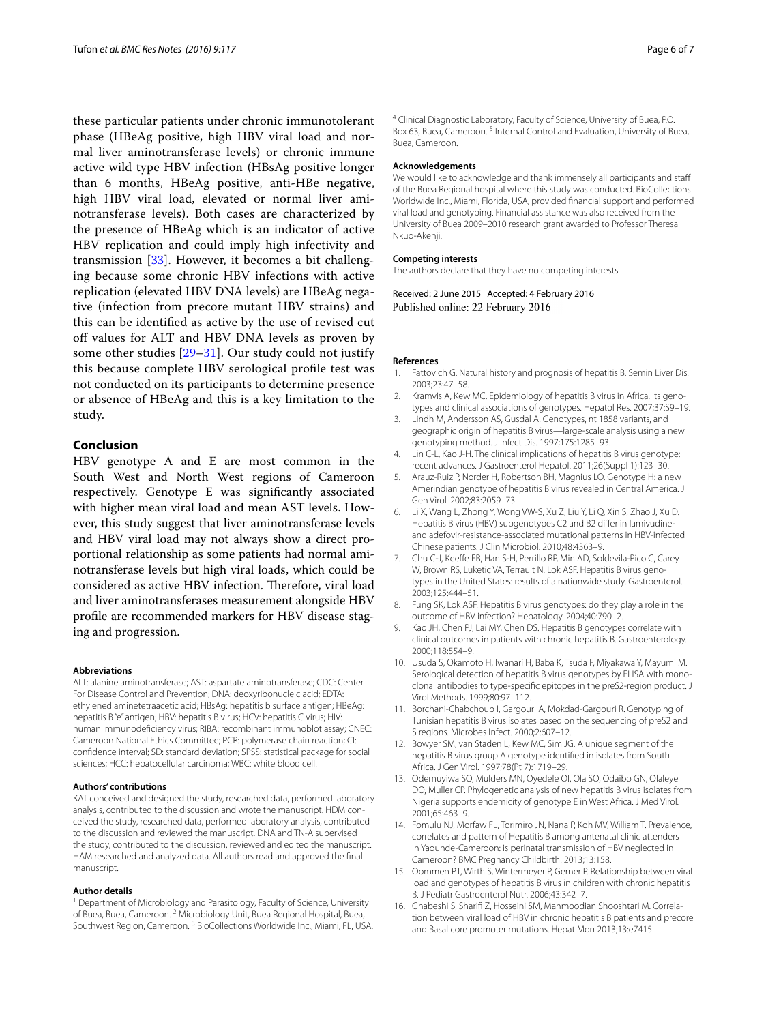these particular patients under chronic immunotolerant phase (HBeAg positive, high HBV viral load and normal liver aminotransferase levels) or chronic immune active wild type HBV infection (HBsAg positive longer than 6 months, HBeAg positive, anti-HBe negative, high HBV viral load, elevated or normal liver aminotransferase levels). Both cases are characterized by the presence of HBeAg which is an indicator of active HBV replication and could imply high infectivity and transmission [\[33](#page-6-15)]. However, it becomes a bit challenging because some chronic HBV infections with active replication (elevated HBV DNA levels) are HBeAg negative (infection from precore mutant HBV strains) and this can be identified as active by the use of revised cut off values for ALT and HBV DNA levels as proven by some other studies [[29](#page-6-12)–[31](#page-6-13)]. Our study could not justify this because complete HBV serological profile test was not conducted on its participants to determine presence or absence of HBeAg and this is a key limitation to the study.

# **Conclusion**

HBV genotype A and E are most common in the South West and North West regions of Cameroon respectively. Genotype E was significantly associated with higher mean viral load and mean AST levels. However, this study suggest that liver aminotransferase levels and HBV viral load may not always show a direct proportional relationship as some patients had normal aminotransferase levels but high viral loads, which could be considered as active HBV infection. Therefore, viral load and liver aminotransferases measurement alongside HBV profile are recommended markers for HBV disease staging and progression.

#### **Abbreviations**

ALT: alanine aminotransferase; AST: aspartate aminotransferase; CDC: Center For Disease Control and Prevention; DNA: deoxyribonucleic acid; EDTA: ethylenediaminetetraacetic acid; HBsAg: hepatitis b surface antigen; HBeAg: hepatitis B "e" antigen; HBV: hepatitis B virus; HCV: hepatitis C virus; HIV: human immunodeficiency virus; RIBA: recombinant immunoblot assay; CNEC: Cameroon National Ethics Committee; PCR: polymerase chain reaction; CI: confidence interval; SD: standard deviation; SPSS: statistical package for social sciences; HCC: hepatocellular carcinoma; WBC: white blood cell.

#### **Authors' contributions**

KAT conceived and designed the study, researched data, performed laboratory analysis, contributed to the discussion and wrote the manuscript. HDM conceived the study, researched data, performed laboratory analysis, contributed to the discussion and reviewed the manuscript. DNA and TN-A supervised the study, contributed to the discussion, reviewed and edited the manuscript. HAM researched and analyzed data. All authors read and approved the final manuscript.

#### **Author details**

<sup>1</sup> Department of Microbiology and Parasitology, Faculty of Science, University of Buea, Buea, Cameroon. <sup>2</sup> Microbiology Unit, Buea Regional Hospital, Buea, Southwest Region, Cameroon. 3 BioCollections Worldwide Inc., Miami, FL, USA.

<sup>4</sup> Clinical Diagnostic Laboratory, Faculty of Science, University of Buea, P.O. Box 63, Buea, Cameroon. <sup>5</sup> Internal Control and Evaluation, University of Buea, Buea, Cameroon.

#### **Acknowledgements**

We would like to acknowledge and thank immensely all participants and staff of the Buea Regional hospital where this study was conducted. BioCollections Worldwide Inc., Miami, Florida, USA, provided financial support and performed viral load and genotyping. Financial assistance was also received from the University of Buea 2009–2010 research grant awarded to Professor Theresa Nkuo-Akenji.

#### **Competing interests**

The authors declare that they have no competing interests.

Received: 2 June 2015 Accepted: 4 February 2016 Published online: 22 February 2016

#### **References**

- <span id="page-5-0"></span>1. Fattovich G. Natural history and prognosis of hepatitis B. Semin Liver Dis. 2003;23:47–58.
- <span id="page-5-1"></span>2. Kramvis A, Kew MC. Epidemiology of hepatitis B virus in Africa, its genotypes and clinical associations of genotypes. Hepatol Res. 2007;37:S9–19.
- <span id="page-5-2"></span>3. Lindh M, Andersson AS, Gusdal A. Genotypes, nt 1858 variants, and geographic origin of hepatitis B virus—large-scale analysis using a new genotyping method. J Infect Dis. 1997;175:1285–93.
- <span id="page-5-3"></span>4. Lin C-L, Kao J-H. The clinical implications of hepatitis B virus genotype: recent advances. J Gastroenterol Hepatol. 2011;26(Suppl 1):123–30.
- <span id="page-5-4"></span>5. Arauz-Ruiz P, Norder H, Robertson BH, Magnius LO. Genotype H: a new Amerindian genotype of hepatitis B virus revealed in Central America. J Gen Virol. 2002;83:2059–73.
- <span id="page-5-5"></span>6. Li X, Wang L, Zhong Y, Wong VW-S, Xu Z, Liu Y, Li Q, Xin S, Zhao J, Xu D. Hepatitis B virus (HBV) subgenotypes C2 and B2 differ in lamivudineand adefovir-resistance-associated mutational patterns in HBV-infected Chinese patients. J Clin Microbiol. 2010;48:4363–9.
- <span id="page-5-6"></span>7. Chu C-J, Keeffe EB, Han S-H, Perrillo RP, Min AD, Soldevila-Pico C, Carey W, Brown RS, Luketic VA, Terrault N, Lok ASF. Hepatitis B virus genotypes in the United States: results of a nationwide study. Gastroenterol. 2003;125:444–51.
- 8. Fung SK, Lok ASF. Hepatitis B virus genotypes: do they play a role in the outcome of HBV infection? Hepatology. 2004;40:790–2.
- <span id="page-5-7"></span>9. Kao JH, Chen PJ, Lai MY, Chen DS. Hepatitis B genotypes correlate with clinical outcomes in patients with chronic hepatitis B. Gastroenterology. 2000;118:554–9.
- <span id="page-5-8"></span>10. Usuda S, Okamoto H, Iwanari H, Baba K, Tsuda F, Miyakawa Y, Mayumi M. Serological detection of hepatitis B virus genotypes by ELISA with monoclonal antibodies to type-specific epitopes in the preS2-region product. J Virol Methods. 1999;80:97–112.
- <span id="page-5-9"></span>11. Borchani-Chabchoub I, Gargouri A, Mokdad-Gargouri R. Genotyping of Tunisian hepatitis B virus isolates based on the sequencing of preS2 and S regions. Microbes Infect. 2000;2:607–12.
- <span id="page-5-10"></span>12. Bowyer SM, van Staden L, Kew MC, Sim JG. A unique segment of the hepatitis B virus group A genotype identified in isolates from South Africa. J Gen Virol. 1997;78(Pt 7):1719–29.
- <span id="page-5-11"></span>13. Odemuyiwa SO, Mulders MN, Oyedele OI, Ola SO, Odaibo GN, Olaleye DO, Muller CP. Phylogenetic analysis of new hepatitis B virus isolates from Nigeria supports endemicity of genotype E in West Africa. J Med Virol. 2001;65:463–9.
- <span id="page-5-12"></span>14. Fomulu NJ, Morfaw FL, Torimiro JN, Nana P, Koh MV, William T. Prevalence, correlates and pattern of Hepatitis B among antenatal clinic attenders in Yaounde-Cameroon: is perinatal transmission of HBV neglected in Cameroon? BMC Pregnancy Childbirth. 2013;13:158.
- <span id="page-5-13"></span>15. Oommen PT, Wirth S, Wintermeyer P, Gerner P. Relationship between viral load and genotypes of hepatitis B virus in children with chronic hepatitis B. J Pediatr Gastroenterol Nutr. 2006;43:342–7.
- <span id="page-5-14"></span>16. Ghabeshi S, Sharifi Z, Hosseini SM, Mahmoodian Shooshtari M. Correlation between viral load of HBV in chronic hepatitis B patients and precore and Basal core promoter mutations. Hepat Mon 2013;13:e7415.